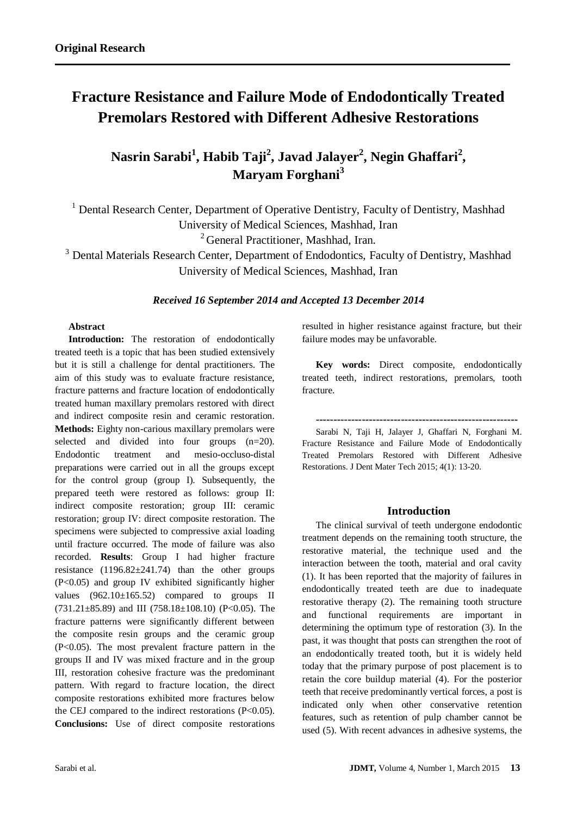# **Fracture Resistance and Failure Mode of Endodontically Treated Premolars Restored with Different Adhesive Restorations**

**Nasrin Sarabi<sup>1</sup> , Habib Taji<sup>2</sup> , Javad Jalayer<sup>2</sup> , Negin Ghaffari<sup>2</sup> , Maryam Forghani<sup>3</sup>**

<sup>1</sup> Dental Research Center, Department of Operative Dentistry, Faculty of Dentistry, Mashhad University of Medical Sciences, Mashhad, Iran

<sup>2</sup> General Practitioner, Mashhad, Iran.

<sup>3</sup> Dental Materials Research Center, Department of Endodontics, Faculty of Dentistry, Mashhad University of Medical Sciences, Mashhad, Iran

#### *Received 16 September 2014 and Accepted 13 December 2014*

### **Abstract**

Introduction: The restoration of endodontically treated teeth is a topic that has been studied extensively but it is still a challenge for dental practitioners. The aim of this study was to evaluate fracture resistance, fracture patterns and fracture location of endodontically treated human maxillary premolars restored with direct and indirect composite resin and ceramic restoration. **Methods:** Eighty non-carious maxillary premolars were selected and divided into four groups (n=20). Endodontic treatment and mesio-occluso-distal preparations were carried out in all the groups except for the control group (group I). Subsequently, the prepared teeth were restored as follows: group II: indirect composite restoration; group III: ceramic restoration; group IV: direct composite restoration. The specimens were subjected to compressive axial loading until fracture occurred. The mode of failure was also recorded. **Results**: Group I had higher fracture resistance  $(1196.82 \pm 241.74)$  than the other groups  $(P<0.05)$  and group IV exhibited significantly higher values (962.10±165.52) compared to groups II  $(731.21 \pm 85.89)$  and III  $(758.18 \pm 108.10)$  (P<0.05). The fracture patterns were significantly different between the composite resin groups and the ceramic group (P<0.05). The most prevalent fracture pattern in the groups II and IV was mixed fracture and in the group III, restoration cohesive fracture was the predominant pattern. With regard to fracture location, the direct composite restorations exhibited more fractures below the CEJ compared to the indirect restorations (P<0.05). **Conclusions:** Use of direct composite restorations resulted in higher resistance against fracture, but their failure modes may be unfavorable.

**Key words:** Direct composite, endodontically treated teeth, indirect restorations, premolars, tooth fracture.

**---------------------------------------------------------**

Sarabi N, Taji H, Jalayer J, Ghaffari N, Forghani M. Fracture Resistance and Failure Mode of Endodontically Treated Premolars Restored with Different Adhesive Restorations. J Dent Mater Tech 2015; 4(1): 13-20.

#### **Introduction**

The clinical survival of teeth undergone endodontic treatment depends on the remaining tooth structure, the restorative material, the technique used and the interaction between the tooth, material and oral cavity (1). It has been reported that the majority of failures in endodontically treated teeth are due to inadequate restorative therapy (2). The remaining tooth structure and functional requirements are important in determining the optimum type of restoration (3). In the past, it was thought that posts can strengthen the root of an endodontically treated tooth, but it is widely held today that the primary purpose of post placement is to retain the core buildup material (4). For the posterior teeth that receive predominantly vertical forces, a post is indicated only when other conservative retention features, such as retention of pulp chamber cannot be used (5). With recent advances in adhesive systems, the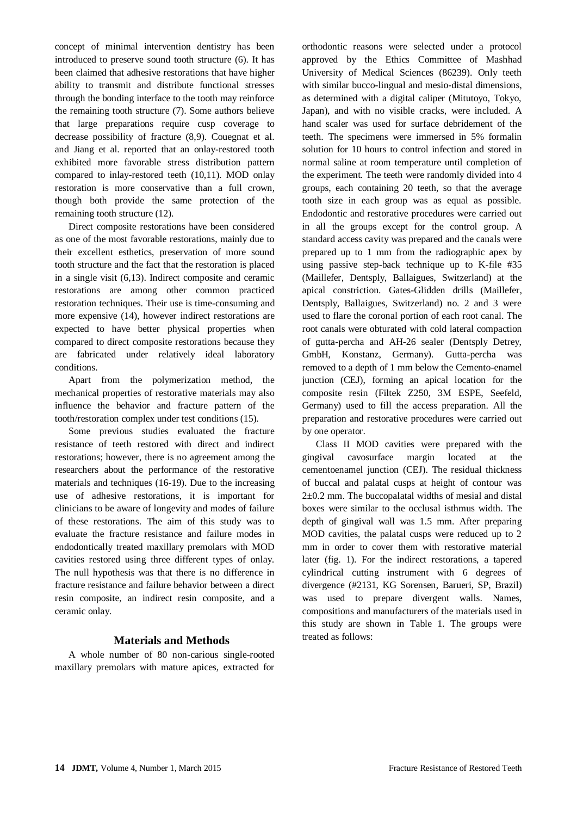concept of minimal intervention dentistry has been introduced to preserve sound tooth structure (6). It has been claimed that adhesive restorations that have higher ability to transmit and distribute functional stresses through the bonding interface to the tooth may reinforce the remaining tooth structure (7). Some authors believe that large preparations require cusp coverage to decrease possibility of fracture (8,9). Couegnat et al. and Jiang et al. reported that an onlay-restored tooth exhibited more favorable stress distribution pattern compared to inlay-restored teeth (10,11). MOD onlay restoration is more conservative than a full crown, though both provide the same protection of the remaining tooth structure (12).

Direct composite restorations have been considered as one of the most favorable restorations, mainly due to their excellent esthetics, preservation of more sound tooth structure and the fact that the restoration is placed in a single visit (6,13). Indirect composite and ceramic restorations are among other common practiced restoration techniques. Their use is time-consuming and more expensive (14), however indirect restorations are expected to have better physical properties when compared to direct composite restorations because they are fabricated under relatively ideal laboratory conditions.

Apart from the polymerization method, the mechanical properties of restorative materials may also influence the behavior and fracture pattern of the tooth/restoration complex under test conditions (15).

Some previous studies evaluated the fracture resistance of teeth restored with direct and indirect restorations; however, there is no agreement among the researchers about the performance of the restorative materials and techniques (16-19). Due to the increasing use of adhesive restorations, it is important for clinicians to be aware of longevity and modes of failure of these restorations. The aim of this study was to evaluate the fracture resistance and failure modes in endodontically treated maxillary premolars with MOD cavities restored using three different types of onlay. The null hypothesis was that there is no difference in fracture resistance and failure behavior between a direct resin composite, an indirect resin composite, and a ceramic onlay.

## **Materials and Methods**

A whole number of 80 non-carious single-rooted maxillary premolars with mature apices, extracted for orthodontic reasons were selected under a protocol approved by the Ethics Committee of Mashhad University of Medical Sciences (86239). Only teeth with similar bucco-lingual and mesio-distal dimensions, as determined with a digital caliper (Mitutoyo, Tokyo, Japan), and with no visible cracks, were included. A hand scaler was used for surface debridement of the teeth. The specimens were immersed in 5% formalin solution for 10 hours to control infection and stored in normal saline at room temperature until completion of the experiment. The teeth were randomly divided into 4 groups, each containing 20 teeth, so that the average tooth size in each group was as equal as possible. Endodontic and restorative procedures were carried out in all the groups except for the control group. A standard access cavity was prepared and the canals were prepared up to 1 mm from the radiographic apex by using passive step-back technique up to K-file #35 (Maillefer, Dentsply, Ballaigues, Switzerland) at the apical constriction. Gates-Glidden drills (Maillefer, Dentsply, Ballaigues, Switzerland) no. 2 and 3 were used to flare the coronal portion of each root canal. The root canals were obturated with cold lateral compaction of gutta-percha and AH-26 sealer (Dentsply Detrey, GmbH, Konstanz, Germany). Gutta-percha was removed to a depth of 1 mm below the Cemento-enamel junction (CEJ), forming an apical location for the composite resin (Filtek Z250, 3M ESPE, Seefeld, Germany) used to fill the access preparation. All the preparation and restorative procedures were carried out by one operator.

Class II MOD cavities were prepared with the gingival cavosurface margin located at the cementoenamel junction (CEJ). The residual thickness of buccal and palatal cusps at height of contour was 2±0.2 mm. The buccopalatal widths of mesial and distal boxes were similar to the occlusal isthmus width. The depth of gingival wall was 1.5 mm. After preparing MOD cavities, the palatal cusps were reduced up to 2 mm in order to cover them with restorative material later (fig. 1). For the indirect restorations, a tapered cylindrical cutting instrument with 6 degrees of divergence (#2131, KG Sorensen, Barueri, SP, Brazil) was used to prepare divergent walls. Names, compositions and manufacturers of the materials used in this study are shown in Table 1. The groups were treated as follows: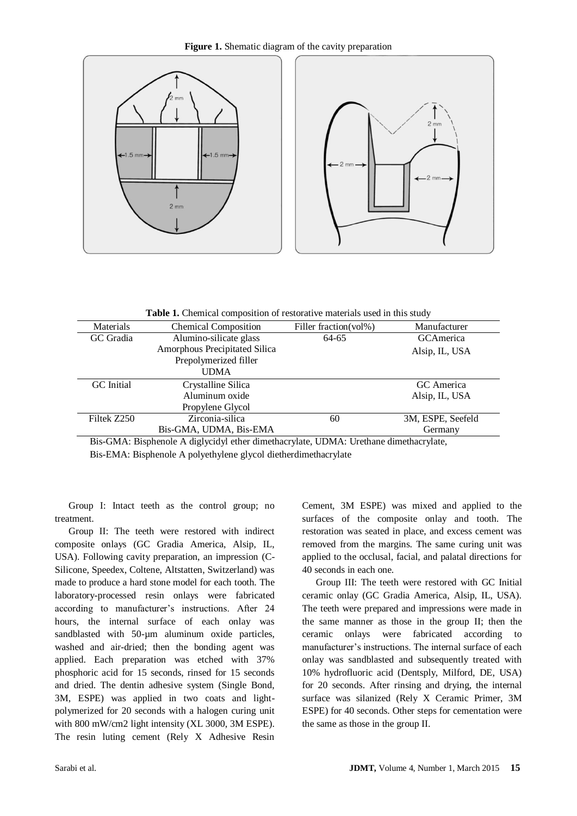

**Figure 1.** Shematic diagram of the cavity preparation

**Table 1.** Chemical composition of restorative materials used in this study

| Materials         | <b>Chemical Composition</b>   | Filler fraction(vol%) | Manufacturer      |  |  |
|-------------------|-------------------------------|-----------------------|-------------------|--|--|
| GC Gradia         | Alumino-silicate glass        | 64-65                 | GCAmerica         |  |  |
|                   | Amorphous Precipitated Silica |                       | Alsip, IL, USA    |  |  |
|                   | Prepolymerized filler         |                       |                   |  |  |
|                   | <b>UDMA</b>                   |                       |                   |  |  |
| <b>GC</b> Initial | Crystalline Silica            |                       | GC America        |  |  |
|                   | Aluminum oxide                |                       | Alsip, IL, USA    |  |  |
|                   | Propylene Glycol              |                       |                   |  |  |
| Filtek Z250       | Zirconia-silica               | 60                    | 3M, ESPE, Seefeld |  |  |
|                   | Bis-GMA, UDMA, Bis-EMA        |                       | Germany           |  |  |
|                   |                               |                       |                   |  |  |

Bis-GMA: Bisphenole A diglycidyl ether dimethacrylate, UDMA: Urethane dimethacrylate, Bis-EMA: Bisphenole A polyethylene glycol dietherdimethacrylate

Group I: Intact teeth as the control group; no treatment.

Group II: The teeth were restored with indirect composite onlays (GC Gradia America, Alsip, IL, USA). Following cavity preparation, an impression (C-Silicone, Speedex, Coltene, Altstatten, Switzerland) was made to produce a hard stone model for each tooth. The laboratory-processed resin onlays were fabricated according to manufacturer's instructions. After 24 hours, the internal surface of each onlay was sandblasted with 50-um aluminum oxide particles, washed and air-dried; then the bonding agent was applied. Each preparation was etched with 37% phosphoric acid for 15 seconds, rinsed for 15 seconds and dried. The dentin adhesive system (Single Bond, 3M, ESPE) was applied in two coats and lightpolymerized for 20 seconds with a halogen curing unit with 800 mW/cm2 light intensity (XL 3000, 3M ESPE). The resin luting cement (Rely X Adhesive Resin Cement, 3M ESPE) was mixed and applied to the surfaces of the composite onlay and tooth. The restoration was seated in place, and excess cement was removed from the margins. The same curing unit was applied to the occlusal, facial, and palatal directions for 40 seconds in each one.

Group III: The teeth were restored with GC Initial ceramic onlay (GC Gradia America, Alsip, IL, USA). The teeth were prepared and impressions were made in the same manner as those in the group II; then the ceramic onlays were fabricated according to manufacturer's instructions. The internal surface of each onlay was sandblasted and subsequently treated with 10% hydrofluoric acid (Dentsply, Milford, DE, USA) for 20 seconds. After rinsing and drying, the internal surface was silanized (Rely X Ceramic Primer, 3M ESPE) for 40 seconds. Other steps for cementation were the same as those in the group II.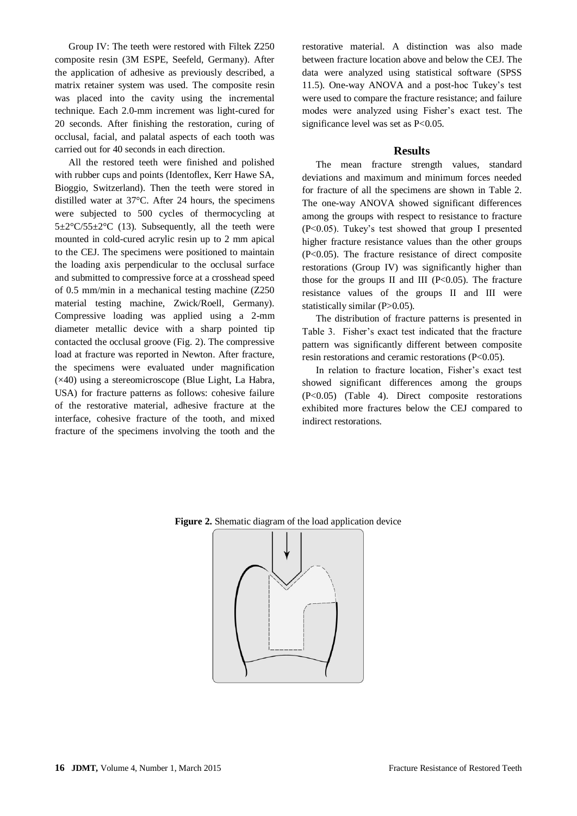Group IV: The teeth were restored with Filtek Z250 composite resin (3M ESPE, Seefeld, Germany). After the application of adhesive as previously described, a matrix retainer system was used. The composite resin was placed into the cavity using the incremental technique. Each 2.0-mm increment was light-cured for 20 seconds. After finishing the restoration, curing of occlusal, facial, and palatal aspects of each tooth was carried out for 40 seconds in each direction.

All the restored teeth were finished and polished with rubber cups and points (Identoflex, Kerr Hawe SA, Bioggio, Switzerland). Then the teeth were stored in distilled water at 37°C. After 24 hours, the specimens were subjected to 500 cycles of thermocycling at  $5\pm2^{\circ}C/55\pm2^{\circ}C$  (13). Subsequently, all the teeth were mounted in cold-cured acrylic resin up to 2 mm apical to the CEJ. The specimens were positioned to maintain the loading axis perpendicular to the occlusal surface and submitted to compressive force at a crosshead speed of 0.5 mm/min in a mechanical testing machine (Z250 material testing machine, Zwick/Roell, Germany). Compressive loading was applied using a 2-mm diameter metallic device with a sharp pointed tip contacted the occlusal groove (Fig. 2). The compressive load at fracture was reported in Newton. After fracture, the specimens were evaluated under magnification (×40) using a stereomicroscope (Blue Light, La Habra, USA) for fracture patterns as follows: cohesive failure of the restorative material, adhesive fracture at the interface, cohesive fracture of the tooth, and mixed fracture of the specimens involving the tooth and the

restorative material. A distinction was also made between fracture location above and below the CEJ. The data were analyzed using statistical software (SPSS 11.5). One-way ANOVA and a post-hoc Tukey's test were used to compare the fracture resistance; and failure modes were analyzed using Fisher's exact test. The significance level was set as P<0.05.

### **Results**

The mean fracture strength values, standard deviations and maximum and minimum forces needed for fracture of all the specimens are shown in Table 2. The one-way ANOVA showed significant differences among the groups with respect to resistance to fracture (P<0.05). Tukey's test showed that group I presented higher fracture resistance values than the other groups (P<0.05). The fracture resistance of direct composite restorations (Group IV) was significantly higher than those for the groups II and III ( $P<0.05$ ). The fracture resistance values of the groups II and III were statistically similar (P>0.05).

The distribution of fracture patterns is presented in Table 3. Fisher's exact test indicated that the fracture pattern was significantly different between composite resin restorations and ceramic restorations (P<0.05).

In relation to fracture location, Fisher's exact test showed significant differences among the groups (P<0.05) (Table 4). Direct composite restorations exhibited more fractures below the CEJ compared to indirect restorations.



**Figure 2.** Shematic diagram of the load application device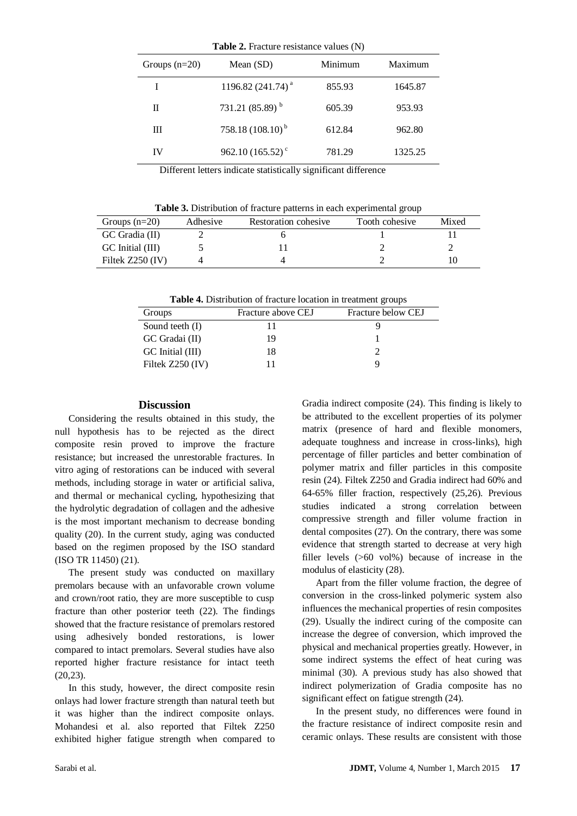| Groups $(n=20)$ | Mean $(SD)$                    | Minimum | Maximum |
|-----------------|--------------------------------|---------|---------|
|                 | 1196.82 (241.74) <sup>a</sup>  | 855.93  | 1645.87 |
| П               | 731.21 $(85.89)^{b}$           | 605.39  | 953.93  |
| Ш               | 758.18 $(108.10)^{b}$          | 612.84  | 962.80  |
| IV              | 962.10 $(165.52)$ <sup>c</sup> | 781.29  | 1325.25 |

Different letters indicate statistically significant difference

| Groups $(n=20)$    | Adhesive | Restoration cohesive | Tooth cohesive | Mixed |
|--------------------|----------|----------------------|----------------|-------|
| GC Gradia (II)     |          |                      |                |       |
| GC Initial (III)   |          |                      |                |       |
| Filtek $Z250$ (IV) |          |                      |                |       |

**Table 4.** Distribution of fracture location in treatment groups

| Groups             | Fracture above CEJ | Fracture below CEJ |
|--------------------|--------------------|--------------------|
| Sound teeth (I)    |                    |                    |
| GC Gradai (II)     | 19                 |                    |
| GC Initial (III)   | 18                 |                    |
| Filtek $Z250$ (IV) |                    | Q                  |

#### **Discussion**

Considering the results obtained in this study, the null hypothesis has to be rejected as the direct composite resin proved to improve the fracture resistance; but increased the unrestorable fractures. In vitro aging of restorations can be induced with several methods, including storage in water or artificial saliva, and thermal or mechanical cycling, hypothesizing that the hydrolytic degradation of collagen and the adhesive is the most important mechanism to decrease bonding quality (20). In the current study, aging was conducted based on the regimen proposed by the ISO standard (ISO TR 11450) (21).

The present study was conducted on maxillary premolars because with an unfavorable crown volume and crown/root ratio, they are more susceptible to cusp fracture than other posterior teeth (22). The findings showed that the fracture resistance of premolars restored using adhesively bonded restorations, is lower compared to intact premolars. Several studies have also reported higher fracture resistance for intact teeth (20,23).

In this study, however, the direct composite resin onlays had lower fracture strength than natural teeth but it was higher than the indirect composite onlays. Mohandesi et al. also reported that Filtek Z250 exhibited higher fatigue strength when compared to Gradia indirect composite (24). This finding is likely to be attributed to the excellent properties of its polymer matrix (presence of hard and flexible monomers, adequate toughness and increase in cross-links), high percentage of filler particles and better combination of polymer matrix and filler particles in this composite resin (24). Filtek Z250 and Gradia indirect had 60% and 64-65% filler fraction, respectively (25,26). Previous studies indicated a strong correlation between compressive strength and filler volume fraction in dental composites (27). On the contrary, there was some evidence that strength started to decrease at very high filler levels (>60 vol%) because of increase in the modulus of elasticity (28).

Apart from the filler volume fraction, the degree of conversion in the cross-linked polymeric system also influences the mechanical properties of resin composites (29). Usually the indirect curing of the composite can increase the degree of conversion, which improved the physical and mechanical properties greatly. However, in some indirect systems the effect of heat curing was minimal (30). A previous study has also showed that indirect polymerization of Gradia composite has no significant effect on fatigue strength (24).

In the present study, no differences were found in the fracture resistance of indirect composite resin and ceramic onlays. These results are consistent with those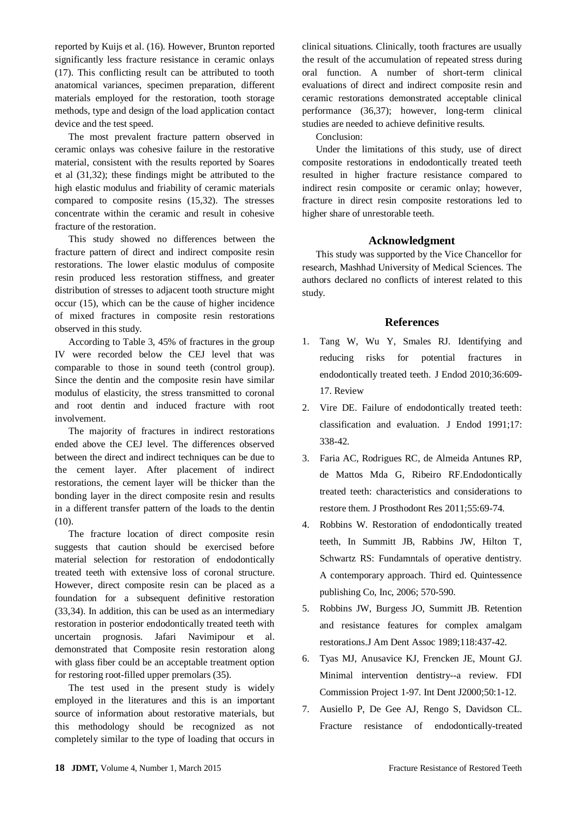reported by Kuijs et al. (16). However, Brunton reported significantly less fracture resistance in ceramic onlays (17). This conflicting result can be attributed to tooth anatomical variances, specimen preparation, different materials employed for the restoration, tooth storage methods, type and design of the load application contact device and the test speed.

The most prevalent fracture pattern observed in ceramic onlays was cohesive failure in the restorative material, consistent with the results reported by Soares et al (31,32); these findings might be attributed to the high elastic modulus and friability of ceramic materials compared to composite resins (15,32). The stresses concentrate within the ceramic and result in cohesive fracture of the restoration.

This study showed no differences between the fracture pattern of direct and indirect composite resin restorations. The lower elastic modulus of composite resin produced less restoration stiffness, and greater distribution of stresses to adjacent tooth structure might occur (15), which can be the cause of higher incidence of mixed fractures in composite resin restorations observed in this study.

According to Table 3, 45% of fractures in the group IV were recorded below the CEJ level that was comparable to those in sound teeth (control group). Since the dentin and the composite resin have similar modulus of elasticity, the stress transmitted to coronal and root dentin and induced fracture with root involvement.

The majority of fractures in indirect restorations ended above the CEJ level. The differences observed between the direct and indirect techniques can be due to the cement layer. After placement of indirect restorations, the cement layer will be thicker than the bonding layer in the direct composite resin and results in a different transfer pattern of the loads to the dentin (10).

The fracture location of direct composite resin suggests that caution should be exercised before material selection for restoration of endodontically treated teeth with extensive loss of coronal structure. However, direct composite resin can be placed as a foundation for a subsequent definitive restoration (33,34). In addition, this can be used as an intermediary restoration in posterior endodontically treated teeth with uncertain prognosis. Jafari Navimipour et al. demonstrated that Composite resin restoration along with glass fiber could be an acceptable treatment option for restoring root-filled upper premolars (35).

The test used in the present study is widely employed in the literatures and this is an important source of information about restorative materials, but this methodology should be recognized as not completely similar to the type of loading that occurs in clinical situations. Clinically, tooth fractures are usually the result of the accumulation of repeated stress during oral function. A number of short-term clinical evaluations of direct and indirect composite resin and ceramic restorations demonstrated acceptable clinical performance (36,37); however, long-term clinical studies are needed to achieve definitive results.

Conclusion:

Under the limitations of this study, use of direct composite restorations in endodontically treated teeth resulted in higher fracture resistance compared to indirect resin composite or ceramic onlay; however, fracture in direct resin composite restorations led to higher share of unrestorable teeth.

## **Acknowledgment**

This study was supported by the Vice Chancellor for research, Mashhad University of Medical Sciences. The authors declared no conflicts of interest related to this study.

## **References**

- 1. Tang W, Wu Y, Smales RJ. [Identifying and](http://www.ncbi.nlm.nih.gov/pubmed/20307732)  [reducing risks for potential fractures in](http://www.ncbi.nlm.nih.gov/pubmed/20307732)  [endodontically treated teeth.](http://www.ncbi.nlm.nih.gov/pubmed/20307732) J Endod 2010;36:609- 17. Review
- 2. Vire DE. [Failure of endodontically treated teeth:](http://www.ncbi.nlm.nih.gov/pubmed/1779219)  [classification and evaluation.](http://www.ncbi.nlm.nih.gov/pubmed/1779219) J Endod 1991;17: 338-42.
- 3. [Faria AC,](http://www.ncbi.nlm.nih.gov/pubmed?term=Faria%20AC%5BAuthor%5D&cauthor=true&cauthor_uid=20709618) [Rodrigues RC,](http://www.ncbi.nlm.nih.gov/pubmed?term=Rodrigues%20RC%5BAuthor%5D&cauthor=true&cauthor_uid=20709618) [de Almeida Antunes RP,](http://www.ncbi.nlm.nih.gov/pubmed?term=de%20Almeida%20Antunes%20RP%5BAuthor%5D&cauthor=true&cauthor_uid=20709618) [de Mattos Mda G,](http://www.ncbi.nlm.nih.gov/pubmed?term=de%20Mattos%20Mda%20G%5BAuthor%5D&cauthor=true&cauthor_uid=20709618) [Ribeiro RF.](http://www.ncbi.nlm.nih.gov/pubmed?term=Ribeiro%20RF%5BAuthor%5D&cauthor=true&cauthor_uid=20709618)Endodontically treated teeth: characteristics and considerations to restore them[. J Prosthodont Res](http://www.ncbi.nlm.nih.gov/pubmed/20709618) 2011;55:69-74.
- 4. Robbins W. Restoration of endodontically treated teeth, In Summitt JB, Rabbins JW, Hilton T, Schwartz RS: Fundamntals of operative dentistry. A contemporary approach. Third ed. Quintessence publishing Co, Inc, 2006; 570-590.
- 5. Robbins JW, Burgess JO, Summitt JB. [Retention](http://www.ncbi.nlm.nih.gov/pubmed/2651502)  [and resistance features for complex amalgam](http://www.ncbi.nlm.nih.gov/pubmed/2651502)  [restorations.J](http://www.ncbi.nlm.nih.gov/pubmed/2651502) Am Dent Assoc 1989;118:437-42.
- 6. [Tyas MJ,](http://www.ncbi.nlm.nih.gov/pubmed?term=Tyas%20MJ%5BAuthor%5D&cauthor=true&cauthor_uid=10945174) [Anusavice KJ,](http://www.ncbi.nlm.nih.gov/pubmed?term=Anusavice%20KJ%5BAuthor%5D&cauthor=true&cauthor_uid=10945174) [Frencken JE,](http://www.ncbi.nlm.nih.gov/pubmed?term=Frencken%20JE%5BAuthor%5D&cauthor=true&cauthor_uid=10945174) [Mount GJ.](http://www.ncbi.nlm.nih.gov/pubmed?term=Mount%20GJ%5BAuthor%5D&cauthor=true&cauthor_uid=10945174) Minimal intervention dentistry--a review. FDI Commission Project 1-97. [Int Dent J2](http://www.ncbi.nlm.nih.gov/pubmed/10945174)000;50:1-12.
- 7. [Ausiello P,](http://www.ncbi.nlm.nih.gov/pubmed?term=Ausiello%20P%5BAuthor%5D&cauthor=true&cauthor_uid=9522698) [De Gee AJ,](http://www.ncbi.nlm.nih.gov/pubmed?term=De%20Gee%20AJ%5BAuthor%5D&cauthor=true&cauthor_uid=9522698) [Rengo S,](http://www.ncbi.nlm.nih.gov/pubmed?term=Rengo%20S%5BAuthor%5D&cauthor=true&cauthor_uid=9522698) [Davidson CL.](http://www.ncbi.nlm.nih.gov/pubmed?term=Davidson%20CL%5BAuthor%5D&cauthor=true&cauthor_uid=9522698) Fracture resistance of endodontically-treated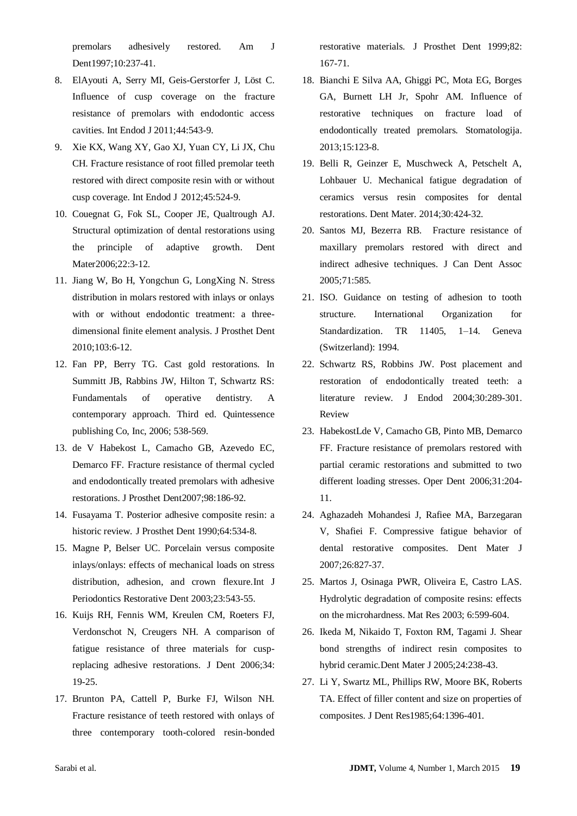premolars adhesively restored. [Am J](http://www.ncbi.nlm.nih.gov/pubmed?term=ausiello%20p%201997)  [Dent1](http://www.ncbi.nlm.nih.gov/pubmed?term=ausiello%20p%201997)997;10:237-41.

- 8. ElAyouti A, Serry MI, Geis-Gerstorfer J, Löst C. Influence of cusp coverage on the fracture resistance of premolars with endodontic access cavities. Int Endod J 2011;44:543-9.
- 9. [Xie KX,](http://www.ncbi.nlm.nih.gov/pubmed?term=Xie%20KX%5BAuthor%5D&cauthor=true&cauthor_uid=22242600) [Wang XY,](http://www.ncbi.nlm.nih.gov/pubmed?term=Wang%20XY%5BAuthor%5D&cauthor=true&cauthor_uid=22242600) [Gao XJ,](http://www.ncbi.nlm.nih.gov/pubmed?term=Gao%20XJ%5BAuthor%5D&cauthor=true&cauthor_uid=22242600) [Yuan CY,](http://www.ncbi.nlm.nih.gov/pubmed?term=Yuan%20CY%5BAuthor%5D&cauthor=true&cauthor_uid=22242600) [Li JX,](http://www.ncbi.nlm.nih.gov/pubmed?term=Li%20JX%5BAuthor%5D&cauthor=true&cauthor_uid=22242600) [Chu](http://www.ncbi.nlm.nih.gov/pubmed?term=Chu%20CH%5BAuthor%5D&cauthor=true&cauthor_uid=22242600)  [CH.](http://www.ncbi.nlm.nih.gov/pubmed?term=Chu%20CH%5BAuthor%5D&cauthor=true&cauthor_uid=22242600) Fracture resistance of root filled premolar teeth restored with direct composite resin with or without cusp coverage. Int [Endod J](http://www.ncbi.nlm.nih.gov/pubmed?term=xie%20kx%202012) 2012;45:524-9.
- 10. [Couegnat G,](http://www.ncbi.nlm.nih.gov/pubmed?term=Couegnat%20G%5BAuthor%5D&cauthor=true&cauthor_uid=16061281) [Fok SL,](http://www.ncbi.nlm.nih.gov/pubmed?term=Fok%20SL%5BAuthor%5D&cauthor=true&cauthor_uid=16061281) [Cooper JE,](http://www.ncbi.nlm.nih.gov/pubmed?term=Cooper%20JE%5BAuthor%5D&cauthor=true&cauthor_uid=16061281) [Qualtrough AJ.](http://www.ncbi.nlm.nih.gov/pubmed?term=Qualtrough%20AJ%5BAuthor%5D&cauthor=true&cauthor_uid=16061281) Structural optimization of dental restorations using the principle of adaptive growth. [Dent](http://www.ncbi.nlm.nih.gov/pubmed?term=couegnat%20g%202006)  [Mater2](http://www.ncbi.nlm.nih.gov/pubmed?term=couegnat%20g%202006)006;22:3-12.
- 11. [Jiang W,](http://www.ncbi.nlm.nih.gov/pubmed?term=Jiang%20W%5BAuthor%5D&cauthor=true&cauthor_uid=20105674) [Bo H,](http://www.ncbi.nlm.nih.gov/pubmed?term=Bo%20H%5BAuthor%5D&cauthor=true&cauthor_uid=20105674) [Yongchun](http://www.ncbi.nlm.nih.gov/pubmed?term=Yongchun%20G%5BAuthor%5D&cauthor=true&cauthor_uid=20105674) G, [LongXing N.](http://www.ncbi.nlm.nih.gov/pubmed?term=LongXing%20N%5BAuthor%5D&cauthor=true&cauthor_uid=20105674) Stress distribution in molars restored with inlays or onlays with or without endodontic treatment: a threedimensional finite element analysis. [J Prosthet Dent](http://www.ncbi.nlm.nih.gov/pubmed?term=jiang%20w%20%20yongchun%20g2007) 2010;103:6-12.
- 12. Fan PP, Berry TG. Cast gold restorations. In Summitt JB, Rabbins JW, Hilton T, Schwartz RS: Fundamentals of operative dentistry. A contemporary approach. Third ed. Quintessence publishing Co, Inc, 2006; 538-569.
- 13. [de V Habekost L,](http://www.ncbi.nlm.nih.gov/pubmed?term=de%20V%20Habekost%20L%5BAuthor%5D&cauthor=true&cauthor_uid=17854619) [Camacho GB,](http://www.ncbi.nlm.nih.gov/pubmed?term=Camacho%20GB%5BAuthor%5D&cauthor=true&cauthor_uid=17854619) [Azevedo EC,](http://www.ncbi.nlm.nih.gov/pubmed?term=Azevedo%20EC%5BAuthor%5D&cauthor=true&cauthor_uid=17854619) [Demarco FF.](http://www.ncbi.nlm.nih.gov/pubmed?term=Demarco%20FF%5BAuthor%5D&cauthor=true&cauthor_uid=17854619) Fracture resistance of thermal cycled and endodontically treated premolars with adhesive restorations. [J Prosthet Dent2](http://www.ncbi.nlm.nih.gov/pubmed?term=azevedo%20ec%202007)007;98:186-92.
- 14. Fusayama T. [Posterior adhesive composite resin: a](http://www.ncbi.nlm.nih.gov/pubmed/2090811)  [historic review.](http://www.ncbi.nlm.nih.gov/pubmed/2090811) J Prosthet Dent 1990;64:534-8.
- 15. Magne P, Belser UC. [Porcelain versus composite](http://www.ncbi.nlm.nih.gov/pubmed/14703758)  [inlays/onlays: effects of mechanical loads on stress](http://www.ncbi.nlm.nih.gov/pubmed/14703758)  [distribution, adhesion, and crown flexure.I](http://www.ncbi.nlm.nih.gov/pubmed/14703758)nt J Periodontics Restorative Dent 2003;23:543-55.
- 16. Kuijs RH, Fennis WM, Kreulen CM, Roeters FJ, Verdonschot N, Creugers NH. [A comparison of](http://www.ncbi.nlm.nih.gov/pubmed/15935540)  [fatigue resistance of three materials for cusp](http://www.ncbi.nlm.nih.gov/pubmed/15935540)[replacing adhesive restorations.](http://www.ncbi.nlm.nih.gov/pubmed/15935540) J Dent 2006;34: 19-25.
- 17. Brunton PA, Cattell P, Burke FJ, Wilson NH. [Fracture resistance of teeth restored with onlays of](http://www.ncbi.nlm.nih.gov/pubmed/10424979)  [three contemporary tooth-colored resin-bonded](http://www.ncbi.nlm.nih.gov/pubmed/10424979)

[restorative materials.](http://www.ncbi.nlm.nih.gov/pubmed/10424979) J Prosthet Dent 1999;82: 167-71.

- 18. Bianchi E Silva AA, Ghiggi PC, Mota EG, Borges GA, Burnett LH Jr, Spohr AM. [Influence of](http://www.ncbi.nlm.nih.gov/pubmed/24589635)  [restorative techniques on fracture load of](http://www.ncbi.nlm.nih.gov/pubmed/24589635)  [endodontically treated premolars.](http://www.ncbi.nlm.nih.gov/pubmed/24589635) Stomatologija. 2013;15:123-8.
- 19. Belli R, Geinzer E, Muschweck A, Petschelt A, Lohbauer U. [Mechanical fatigue degradation of](http://www.ncbi.nlm.nih.gov/pubmed/24553249)  [ceramics versus resin composites for dental](http://www.ncbi.nlm.nih.gov/pubmed/24553249)  [restorations.](http://www.ncbi.nlm.nih.gov/pubmed/24553249) Dent Mater. 2014;30:424-32.
- 20. Santos MJ, Bezerra RB. [Fracture resistance of](http://www.ncbi.nlm.nih.gov/pubmed/16202199)  [maxillary premolars restored with direct and](http://www.ncbi.nlm.nih.gov/pubmed/16202199)  [indirect adhesive techniques.](http://www.ncbi.nlm.nih.gov/pubmed/16202199) J Can Dent Assoc 2005;71:585.
- 21. ISO. Guidance on testing of adhesion to tooth structure. International Organization for Standardization. TR 11405, 1–14. Geneva (Switzerland): 1994.
- 22. Schwartz RS, Robbins JW. [Post placement and](http://www.ncbi.nlm.nih.gov/pubmed/15107639)  [restoration of endodontically treated teeth: a](http://www.ncbi.nlm.nih.gov/pubmed/15107639)  [literature review.](http://www.ncbi.nlm.nih.gov/pubmed/15107639) J Endod 2004;30:289-301. Review
- 23. [HabekostLde V,](http://www.ncbi.nlm.nih.gov/pubmed?term=Habekost%20Lde%20V%5BAuthor%5D&cauthor=true&cauthor_uid=16827023) [Camacho GB,](http://www.ncbi.nlm.nih.gov/pubmed?term=Camacho%20GB%5BAuthor%5D&cauthor=true&cauthor_uid=16827023) [Pinto MB,](http://www.ncbi.nlm.nih.gov/pubmed?term=Pinto%20MB%5BAuthor%5D&cauthor=true&cauthor_uid=16827023) [Demarco](http://www.ncbi.nlm.nih.gov/pubmed?term=Demarco%20FF%5BAuthor%5D&cauthor=true&cauthor_uid=16827023)  [FF.](http://www.ncbi.nlm.nih.gov/pubmed?term=Demarco%20FF%5BAuthor%5D&cauthor=true&cauthor_uid=16827023) Fracture resistance of premolars restored with partial ceramic restorations and submitted to two different loading stresses. [Oper Dent](http://www.ncbi.nlm.nih.gov/pubmed?term=habekost%20lde%20v%202006) 2006;31:204- 11.
- 24. Aghazadeh [Mohandesi J,](http://www.ncbi.nlm.nih.gov/pubmed?term=Aghadazeh%20Mohandesi%20J%5BAuthor%5D&cauthor=true&cauthor_uid=18203488) [Rafiee MA,](http://www.ncbi.nlm.nih.gov/pubmed?term=Rafiee%20MA%5BAuthor%5D&cauthor=true&cauthor_uid=18203488) [Barzegaran](http://www.ncbi.nlm.nih.gov/pubmed?term=Barzegaran%20V%5BAuthor%5D&cauthor=true&cauthor_uid=18203488)  [V,](http://www.ncbi.nlm.nih.gov/pubmed?term=Barzegaran%20V%5BAuthor%5D&cauthor=true&cauthor_uid=18203488) [Shafiei F.](http://www.ncbi.nlm.nih.gov/pubmed?term=Shafiei%20F%5BAuthor%5D&cauthor=true&cauthor_uid=18203488) Compressive fatigue behavior of dental restorative composites. [Dent Mater J](http://www.ncbi.nlm.nih.gov/pubmed?term=Aghadazeh%20Mohandesi%20J%5BAuthor%5D&cauthor=true&cauthor_uid=18203488) 2007;26:827-37.
- 25. Martos J, Osinaga PWR, Oliveira E, Castro LAS. Hydrolytic degradation of composite resins: effects on the microhardness. Mat Res 2003; 6:599-604.
- 26. Ikeda M, Nikaido T, Foxton RM, Tagami J. [Shear](http://www.ncbi.nlm.nih.gov/pubmed/16022445)  [bond strengths of indirect resin composites to](http://www.ncbi.nlm.nih.gov/pubmed/16022445)  [hybrid ceramic.D](http://www.ncbi.nlm.nih.gov/pubmed/16022445)ent Mater J 2005;24:238-43.
- 27. [Li Y,](http://www.ncbi.nlm.nih.gov/pubmed?term=Li%20Y%5BAuthor%5D&cauthor=true&cauthor_uid=3001160) [Swartz ML,](http://www.ncbi.nlm.nih.gov/pubmed?term=Swartz%20ML%5BAuthor%5D&cauthor=true&cauthor_uid=3001160) [Phillips RW,](http://www.ncbi.nlm.nih.gov/pubmed?term=Phillips%20RW%5BAuthor%5D&cauthor=true&cauthor_uid=3001160) [Moore BK,](http://www.ncbi.nlm.nih.gov/pubmed?term=Moore%20BK%5BAuthor%5D&cauthor=true&cauthor_uid=3001160) [Roberts](http://www.ncbi.nlm.nih.gov/pubmed?term=Roberts%20TA%5BAuthor%5D&cauthor=true&cauthor_uid=3001160)  [TA.](http://www.ncbi.nlm.nih.gov/pubmed?term=Roberts%20TA%5BAuthor%5D&cauthor=true&cauthor_uid=3001160) Effect of filler content and size on properties of composites. [J Dent Res1](http://www.ncbi.nlm.nih.gov/pubmed/?term=li+y%2C+swartz+ml+1985)985;64:1396-401.